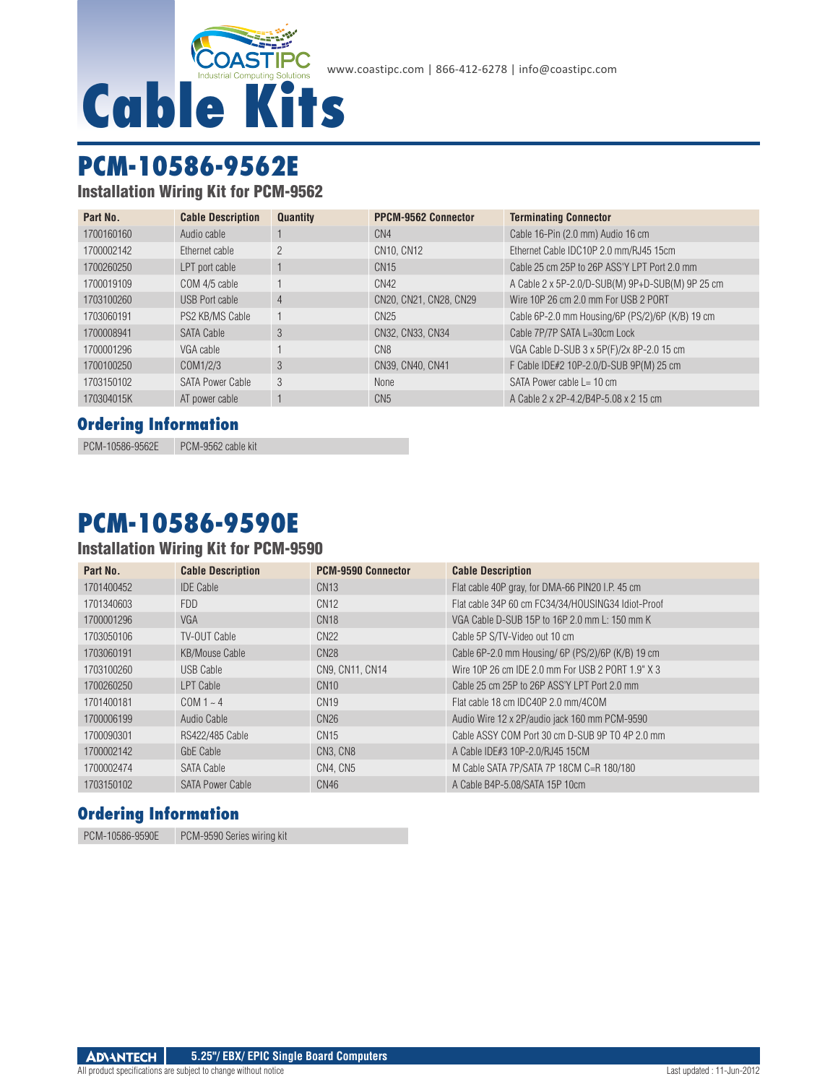

# **PCM-10586-9562E**

Installation Wiring Kit for PCM-9562

| Part No.   | <b>Cable Description</b> | <b>Quantity</b> | <b>PPCM-9562 Connector</b> | <b>Terminating Connector</b>                     |
|------------|--------------------------|-----------------|----------------------------|--------------------------------------------------|
| 1700160160 | Audio cable              |                 | CN <sub>4</sub>            | Cable 16-Pin (2.0 mm) Audio 16 cm                |
| 1700002142 | Ethernet cable           | $\overline{2}$  | CN10, CN12                 | Ethernet Cable IDC10P 2.0 mm/RJ45 15cm           |
| 1700260250 | LPT port cable           |                 | CN15                       | Cable 25 cm 25P to 26P ASS'Y LPT Port 2.0 mm     |
| 1700019109 | COM 4/5 cable            |                 | CN42                       | A Cable 2 x 5P-2.0/D-SUB(M) 9P+D-SUB(M) 9P 25 cm |
| 1703100260 | USB Port cable           | 4               | CN20, CN21, CN28, CN29     | Wire 10P 26 cm 2.0 mm For USB 2 PORT             |
| 1703060191 | PS2 KB/MS Cable          |                 | CN25                       | Cable 6P-2.0 mm Housing/6P (PS/2)/6P (K/B) 19 cm |
| 1700008941 | <b>SATA Cable</b>        | 3               | CN32, CN33, CN34           | Cable 7P/7P SATA L=30cm Lock                     |
| 1700001296 | VGA cable                |                 | CN <sub>8</sub>            | VGA Cable D-SUB 3 x 5P(F)/2x 8P-2.0 15 cm        |
| 1700100250 | COM1/2/3                 | 3               | CN39, CN40, CN41           | F Cable IDE#2 10P-2.0/D-SUB 9P(M) 25 cm          |
| 1703150102 | <b>SATA Power Cable</b>  | 3               | None                       | SATA Power cable $L = 10$ cm                     |
| 170304015K | AT power cable           |                 | CN <sub>5</sub>            | A Cable 2 x 2P-4.2/B4P-5.08 x 2 15 cm            |

### **Ordering Information**

PCM-10586-9562E PCM-9562 cable kit

# **PCM-10586-9590E**

### Installation Wiring Kit for PCM-9590

| Part No.   | <b>Cable Description</b> | <b>PCM-9590 Connector</b> | <b>Cable Description</b>                           |
|------------|--------------------------|---------------------------|----------------------------------------------------|
| 1701400452 | <b>IDE Cable</b>         | <b>CN13</b>               | Flat cable 40P gray, for DMA-66 PIN20 I.P. 45 cm   |
| 1701340603 | FDD.                     | CN <sub>12</sub>          | Flat cable 34P 60 cm FC34/34/HOUSING34 Idiot-Proof |
| 1700001296 | <b>VGA</b>               | CN <sub>18</sub>          | VGA Cable D-SUB 15P to 16P 2.0 mm L: 150 mm K      |
| 1703050106 | TV-OUT Cable             | CN22                      | Cable 5P S/TV-Video out 10 cm                      |
| 1703060191 | <b>KB/Mouse Cable</b>    | <b>CN28</b>               | Cable 6P-2.0 mm Housing/ 6P (PS/2)/6P (K/B) 19 cm  |
| 1703100260 | USB Cable                | CN9, CN11, CN14           | Wire 10P 26 cm IDE 2.0 mm For USB 2 PORT 1.9" X 3  |
| 1700260250 | LPT Cable                | CN10                      | Cable 25 cm 25P to 26P ASS'Y LPT Port 2.0 mm       |
| 1701400181 | $COM1 - 4$               | CN <sub>19</sub>          | Flat cable 18 cm IDC40P 2.0 mm/4COM                |
| 1700006199 | Audio Cable              | CN26                      | Audio Wire 12 x 2P/audio jack 160 mm PCM-9590      |
| 1700090301 | RS422/485 Cable          | CN <sub>15</sub>          | Cable ASSY COM Port 30 cm D-SUB 9P TO 4P 2.0 mm    |
| 1700002142 | GbE Cable                | CN3, CN8                  | A Cable IDE#3 10P-2.0/RJ45 15CM                    |
| 1700002474 | SATA Cable               | CN4. CN5                  | M Cable SATA 7P/SATA 7P 18CM C=R 180/180           |
| 1703150102 | <b>SATA Power Cable</b>  | CN46                      | A Cable B4P-5.08/SATA 15P 10cm                     |

### **Ordering Information**

PCM-10586-9590E PCM-9590 Series wiring kit